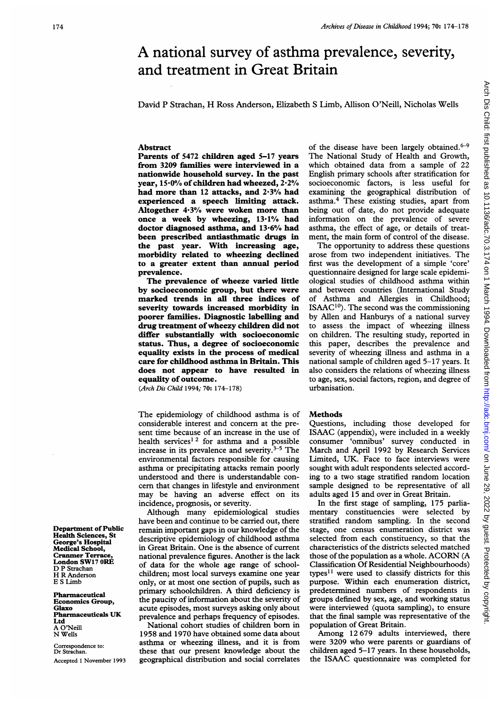# A national survey of asthma prevalence, severity, and treatment in Great Britain

David P Strachan, H Ross Anderson, Elizabeth <sup>S</sup> Limb, Allison <sup>O</sup>'Neill, Nicholas Wells

### Abstract

Parents of 5472 children aged 5-17 years from 3209 families were interviewed in a nationwide household survey. In the past year,  $15.0\%$  of children had wheezed,  $2.2\%$ had more than 12 attacks, and 2.3% had experienced a speech limiting attack. Altogether 4.3% were woken more than once a week by wheezing, 13/1% had doctor diagnosed asthma, and 13.6% had been prescribed antiasthmatic drugs in the past year. With increasing age, morbidity related to wheezing declined to a greater extent than annual period prevalence.

The prevalence of wheeze varied little by socioeconomic group, but there were marked trends in all three indices of severity towards increased morbidity in poorer families. Diagnostic labelling and drug treatment of wheezy children did not differ substantially with socioeconomic status. Thus, a degree of socioeconomic equality exists in the process of medical care for childhood asthma in Britain. This does not appear to have resulted in equality of outcome.

(Arch Dis Child 1994; 70: 174-178)

The epidemiology of childhood asthma is of considerable interest and concern at the present time because of an increase in the use of health services<sup>12</sup> for asthma and a possible increase in its prevalence and severity.3-5 The environmental factors responsible for causing asthma or precipitating attacks remain poorly understood and there is understandable concern that changes in lifestyle and environment may be having an adverse effect on its incidence, prognosis, or severity.

Although many epidemiological studies have been and continue to be carried out, there remain important gaps in our knowledge of the descriptive epidemiology of childhood asthma in Great Britain. One is the absence of current national prevalence figures. Another is the lack of data for the whole age range of schoolchildren; most local surveys examine one year only, or at most one section of pupils, such as primary schoolchildren. A third deficiency is the paucity of information about the severity of acute episodes, most surveys asking only about prevalence and perhaps frequency of episodes.

National cohort studies of children born in 1958 and 1970 have obtained some data about asthma or wheezing illness, and it is from these that our present knowledge about the geographical distribution and social correlates

of the disease have been largely obtained. $6-9$ The National Study of Health and Growth, which obtained data from a sample of 22 English primary schools after stratification for socioeconomic factors, is less useful for examining the geographical distribution of asthma.4 These existing studies, apart from being out of date, do not provide adequate information on the prevalence of severe asthma, the effect of age, or details of treatment, the main form of control of the disease.

The opportunity to address these questions arose from two independent initiatives. The first was the development of a simple 'core' questionnaire designed for large scale epidemiological studies of childhood asthma within and between countries (International Study of Asthma and Allergies in Childhood; ISAAC $10$ ). The second was the commissioning by Allen and Hanburys of a national survey to assess the impact of wheezing illness on children. The resulting study, reported in this paper, describes the prevalence and severity of wheezing illness and asthma in a national sample of children aged 5-17 years. It also considers the relations of wheezing illness to age, sex, social factors, region, and degree of urbanisation.

#### **Methods**

Questions, including those developed for ISAAC (appendix), were included in <sup>a</sup> weekly consumer 'omnibus' survey conducted in March and April 1992 by Research Services Limited, UK. Face to face interviews were sought with adult respondents selected according to a two stage stratified random location sample designed to be representative of all adults aged 15 and over in Great Britain.

In the first stage of sampling, 175 parliamentary constituencies were selected by stratified random sampling. In the second stage, one census enumeration district was selected from each constituency, so that the characteristics of the districts selected matched those of the population as <sup>a</sup> whole. ACORN (A Classification Of Residential Neighbourhoods) types $11$  were used to classify districts for this purpose. Within each enumeration district, predetermined numbers of respondents in groups defined by sex, age, and working status were interviewed (quota sampling), to ensure that the final sample was representative of the population of Great Britain.

Among 12 679 adults interviewed, there were 3209 who were parents or guardians of children aged 5-17 years. In these households, the ISAAC questionnaire was completed for

Department of Public Health Sciences, St George's Hospital Medical School, Cranmer Terrac London SW17 ORE D P Strachan H R Anderson E S Iimb

Pharmaceutical Economics Group, Glasxo Pharmaceuticals UK Ltd A <sup>O</sup>'Neill N Wells

Correspondence to: Dr Strachan. Accepted <sup>1</sup> November 1993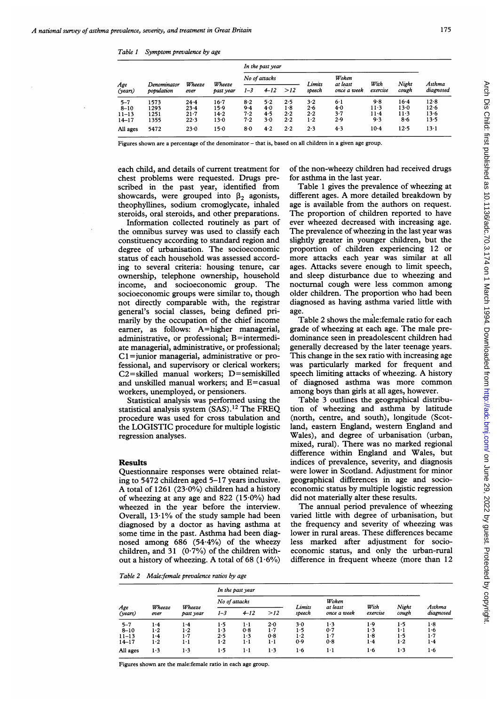| Table 1 |  | Symptom prevalence by age |  |  |
|---------|--|---------------------------|--|--|
|---------|--|---------------------------|--|--|

| Age<br>Denominator<br>population<br>(years) |      |                | In the past year    |               |          |       |                  |                         |                  |                |           |
|---------------------------------------------|------|----------------|---------------------|---------------|----------|-------|------------------|-------------------------|------------------|----------------|-----------|
|                                             |      |                | Wheeze<br>past year | No of attacks |          |       |                  | Woken                   |                  |                | Asthma    |
|                                             |      | Wheeze<br>ever |                     | $1 - 3$       | $4 - 12$ | >12   | Limits<br>speech | at least<br>once a week | With<br>exercise | Night<br>cough | diagnosed |
| $5 - 7$                                     | 1573 | $24 - 4$       | $16 - 7$            | 8.2           | 5.2      | 2.5   | 3.2              | $6-1$                   | 9.8              | $16 - 4$       | 12.8      |
| $8 - 10$                                    | 1293 | $23 - 4$       | 15.9                | $9 - 4$       | 4.0      | $1-8$ | 2.6              | 4.0                     | $11-3$           | 13.0           | 12.6      |
| $11 - 13$                                   | 1251 | $21 - 7$       | 14.2                | 7.2           | 4.5      | 2.2   | 2.2              | 3.7                     | $11 - 4$         | $11-3$         | 13.6      |
| $14 - 17$                                   | 1355 | 22.3           | 13.0                | 7.2           | $3-0$    | 2.2   | $1-2$            | 2.9                     | 9.3              | $8-6$          | 13.5      |
| All ages                                    | 5472 | 23.0           | 15.0                | $8-0$         | 4.2      | 2.2   | 2.3              | 4.3                     | $10-4$           | 12.5           | 13-1      |

Figures shown are a percentage of the denominator - that is, based on all children in a given age group.

each child, and details of current treatment for chest problems were requested. Drugs prescribed in the past year, identified from showcards, were grouped into  $\beta_2$  agonists, theophyllines, sodium cromoglycate, inhaled steroids, oral steroids, and other preparations.

Information collected routinely as part of the omnibus survey was used to classify each constituency according to standard region and degree of urbanisation. The socioeconomic status of each household was assessed according to several criteria: housing tenure, car ownership, telephone ownership, household income, and socioeconomic group. The socioeconomic groups were similar to, though not directly comparable with, the registrar general's social classes, being defined primarily by the occupation of the chief income earner, as follows: A=higher managerial, administrative, or professional; B=intermediate managerial, administrative, or professional;  $C1 =$  junior managerial, administrative or professional, and supervisory or clerical workers; C2=skilled manual workers; D=semiskilled and unskilled manual workers; and E=casual workers, unemployed, or pensioners.

Statistical analysis was performed using the statistical analysis system (SAS).12 The FREQ procedure was used for cross tabulation and the LOGISTIC procedure for multiple logistic regression analyses.

#### Results

Questionnaire responses were obtained relating to 5472 children aged 5-17 years inclusive. A total of <sup>1261</sup> (23-0%) children had <sup>a</sup> history of wheezing at any age and 822 (15 $\cdot$ 0%) had wheezed in the year before the interview. Overall,  $13.1\%$  of the study sample had been diagnosed by a doctor as having asthma at some time in the past. Asthma had been diagnosed among  $686$   $(54.4\%)$  of the wheezy children, and 31  $(0.7%)$  of the children without a history of wheezing. A total of 68  $(1.6\%)$ 

Table 2 Male:female prevalence ratios by age

In the past year No of attacks Woken<br>
Limits at least Age Wheeze Wheeze Limits at least With Night Asthma (years) ever pastyear 1-3 4-12 >12 speech once a week exercise cough diagnosed 5-7 1-4 1-4 1-5 <sup>1</sup> <sup>1</sup> 2-0 3-0 1-3 <sup>1</sup> 9 1-5 1-8 8-10 1-2 1-2 1-3 0-8 1-7 1-5 07 1-3 <sup>1</sup> <sup>1</sup> 1-6 11-13 1-4 1-7 2-5 1-3 0-8 1-2 1-7 1-8 1-5 1-7 14-17 1-2 1.1 1-2 1.1 1-1 09 0-8 1-4 1-2 1-4 All ages 1-3 1-3 1-5 1-1 1-3 1-6 1.1 1-6 1-3 1-6

Figures shown are the male:female ratio in each age group.

of the non-wheezy children had received drugs for asthma in the last year.

Table <sup>1</sup> gives the prevalence of wheezing at different ages. A more detailed breakdown by age is available from the authors on request. The proportion of children reported to have ever wheezed decreased with increasing age. The prevalence of wheezing in the last year was slightly greater in younger children, but the proportion of children experiencing 12 or more attacks each year was similar at all ages. Attacks severe enough to limit speech, and sleep disturbance due to wheezing and nocturnal cough were less common among older children. The proportion who had been diagnosed as having asthma varied little with age.

Table 2 shows the male:female ratio for each grade of wheezing at each age. The male predominance seen in preadolescent children had generally decreased by the later teenage years. This change in the sex ratio with increasing age was particularly marked for frequent and speech limiting attacks of wheezing. A history of diagnosed asthma was more common among boys than girls at all ages, however.

Table 3 outlines the geographical distribution of wheezing and asthma by latitude (north, centre, and south), longitude (Scotland, eastern England, western England and Wales), and degree of urbanisation (urban, mixed, rural). There was no marked regional difference within England and Wales, but indices of prevalence, severity, and diagnosis were lower in Scotland. Adjustment for minor geographical differences in age and socioeconomic status by multiple logistic regression did not materially alter these results.

The annual period prevalence of wheezing varied little with degree of urbanisation, but the frequency and severity of wheezing was lower in rural areas. These differences became less marked after adjustment for socioeconomic status, and only the urban-rural difference in frequent wheeze (more than 12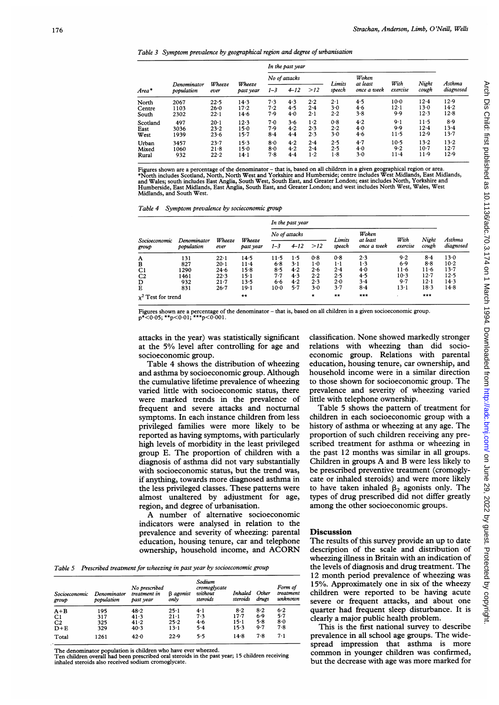|  |  | Table 3 Symptom prevalence by geographical region and degree of urbanisation |  |  |  |
|--|--|------------------------------------------------------------------------------|--|--|--|
|--|--|------------------------------------------------------------------------------|--|--|--|

| Area*    |                           |                | Wheeze<br>past year | In the past year |          |             |                  |                         |                  |                |                     |
|----------|---------------------------|----------------|---------------------|------------------|----------|-------------|------------------|-------------------------|------------------|----------------|---------------------|
|          |                           |                |                     | No of attacks    |          |             |                  | Woken                   |                  |                |                     |
|          | Denominator<br>population | Wheeze<br>ever |                     | $1 - 3$          | $4 - 12$ | >12         | Limits<br>speech | at least<br>once a week | With<br>exercise | Night<br>cough | Asthma<br>diagnosed |
| North    | 2067                      | $22 - 5$       | 14.3                | 7.3              | 4.3      | 2.2         | $2 \cdot 1$      | 4.5                     | $10-0$           | $12 - 4$       | 12.9                |
| Centre   | 1103                      | 26.0           | 17.2                | 7.2              | 4.5      | 2.4         | 3.0              | 4.6                     | $12 - 1$         | 13.0           | 14.2                |
| South    | 2302                      | $22 \cdot 1$   | 14.6                | 7.9              | $4-0$    | $2 \cdot 1$ | 2.2              | 3.8                     | $9-9$            | 12.3           | 12.8                |
| Scotland | 497                       | $20 - 1$       | 12.3                | 7.0              | $3 - 6$  | $1-2$       | 0.8              | 4.2                     | $9-1$            | $11-5$         | 8.9                 |
| East     | 3036                      | 23.2           | 15.0                | 7.9              | 4.2      | 2.3         | 2.2              | 4.0                     | 9.9              | 12.4           | 13.4                |
| West     | 1939                      | 23.6           | $15 - 7$            | 8.4              | $4 - 4$  | 2.3         | 3.0              | 4.6                     | $11 - 5$         | 12.9           | 13.7                |
| Urban    | 3457                      | 23.7           | 15.3                | 8.0              | 4.2      | 2.4         | 2.5              | 4.7                     | $10-5$           | $13-2$         | $13 - 2$            |
| Mixed    | 1060                      | 21.8           | $15 - 0$            | 8·0              | 4.2      | 2.4         | 2.5              | 4.0                     | 9.2              | $10-7$         | 12.7                |
| Rural    | 932                       | 22.2           | $14-1$              | 7.8              | 4.4      | 1.2         | 1.8              | $3-0$                   | $11-4$           | $11-9$         | 12.9                |

Figures shown are a percentage of the denominator – that is, based on all children in a given geographical region or area.<br>\*North includes Scotland, North, North West and Yorkshire and Humberside; centre includes West Midl Humberside, East Midlands, East Anglia, South East, and Greater London; and west includes North West, Wales, West Midlands, and South West.

|  |  |  |  | Table 4 Symptom prevalence by socieconomic group |  |
|--|--|--|--|--------------------------------------------------|--|
|--|--|--|--|--------------------------------------------------|--|

| Socioeconomic<br>group  |                           |                |                     | In the past year |          |         |                  |                         |                  |                |                     |
|-------------------------|---------------------------|----------------|---------------------|------------------|----------|---------|------------------|-------------------------|------------------|----------------|---------------------|
|                         |                           |                |                     | No of attacks    |          |         |                  | Woken                   |                  |                |                     |
|                         | Denominator<br>population | Wheeze<br>ever | Wheeze<br>past year | $1 - 3$          | $4 - 12$ | >12     | Limits<br>speech | at least<br>once a week | With<br>exercise | Night<br>cough | Asthma<br>diagnosed |
| A                       | 131                       | $22 \cdot 1$   | $14-5$              | 11.5             | 1.5      | 0.8     | 0.8              | 2.3                     | 9.2              | 8.4            | 13.0                |
| в                       | 827                       | $20 \cdot 1$   | $11-4$              | $6-8$            | $3-1$    | 1.0     | $1 \cdot 1$      | 1.3                     | 6.9              | 8.8            | $10-2$              |
| C1                      | 1290                      | 24.6           | 15.8                | $8-5$            | 4.2      | 2.6     | 2.4              | 4.0                     | $11-6$           | $11-6$         | 13.7                |
| C <sub>2</sub>          | 1461                      | 22.3           | 15-1                | 7.7              | 4.3      | 2.2     | 2.5              | 4.5                     | $10-3$           | $12 - 7$       | 12.5                |
| D                       | 932                       | $21 - 7$       | $13 - 5$            | $6 - 6$          | 4.2      | 2.3     | 2.0              | 3.4                     | 9.7              | $12-1$         | $14-3$              |
| Е                       | 831                       | $26 - 7$       | 19.1                | $10-0$           | $5 - 7$  | 3.0     | 3.7              | 8.4                     | 13-1             | 18.3           | $14-8$              |
| $\chi^2$ Test for trend |                           |                | $***$               |                  |          | $\star$ | **               | ***                     |                  | ***            |                     |

Figures shown are <sup>a</sup> percentage of the denominator - that is, based on all children in <sup>a</sup> given socioeconomic group. p\*<0-05; \*\*p<0.01; \*\*\*p<0.001.

attacks in the year) was statistically significant at the 5% level after controlling for age and socioeconomic group.

Table 4 shows the distribution of wheezing and asthma by socioeconomic group. Although the cumulative lifetime prevalence of wheezing varied little with socioeconomic status, there were marked trends in the prevalence of frequent and severe attacks and nocturnal symptoms. In each instance children from less privileged families were more likely to be reported as having symptoms, with particularly high levels of morbidity in the least privileged group E. The proportion of children with a diagnosis of asthma did not vary substantially with socioeconomic status, but the trend was, if anything, towards more diagnosed asthma in the less privileged classes. These patterns were almost unaltered by adjustment for age, region, and degree of urbanisation.

A number of alternative socioeconomic indicators were analysed in relation to the prevalence and severity of wheezing: parental education, housing tenure, car and telephone ownership, household income, and ACORN

Table 5 Prescribed treatment for wheezing in past year by socioeconomic group

| Socioeconomic<br>group | Denominator<br>population | No prescribed<br>treatment in<br>past year | $\beta$ agonist<br>onlv | Sodium<br>cromoglycate<br>without<br>steroids | Inhaled<br>steroids | Other<br>drugs | Form of<br>treatment<br>unknown |
|------------------------|---------------------------|--------------------------------------------|-------------------------|-----------------------------------------------|---------------------|----------------|---------------------------------|
| $A + B$                | 195                       | 48.2                                       | $25 - 1$                | 4·1                                           | $8-2$               | 8.2            | 6.2                             |
| C <sub>1</sub>         | 317                       | 41.3                                       | $21 - 1$                | 7.3                                           | $17 - 7$            | 6.9            | 5.7                             |
| C <sub>2</sub>         | 325                       | 41.2                                       | 25.2                    | 4.6                                           | $15 - 1$            | 5.8            | 8.0                             |
| $D+E$                  | 329                       | 40.3                                       | $13-1$                  | 5.4                                           | 15.3                | 9.7            | 7.8                             |
| Total                  | 1261                      | 42.0                                       | 22.9                    | 5.5                                           | 14.8                | 7.8            | 7-1                             |

The denominator population is children who have ever wheezed. Ten children overall had been prescribed oral steroids in the past year; 15 children receiving inhaled steroids also received sodium cromoglycate.

classification. None showed markedly stronger relations with wheezing than did socioeconomic group. Relations with parental education, housing tenure, car ownership, and household income were in a similar direction to those shown for socioeconomic group. The prevalence and severity of wheezing varied little with telephone ownership.

Table 5 shows the pattern of treatment for children in each socioeconomic group with a history of asthma or wheezing at any age. The proportion of such children receiving any prescribed treatment for asthma or wheezing in the past 12 months was similar in all groups. Children in groups A and B were less likely to be prescribed preventive treatment (cromoglycate or inhaled steroids) and were more likely to have taken inhaled  $\beta_2$  agonists only. The types of drug prescribed did not differ greatly among the other socioeconomic groups.

## **Discussion**

The results of this survey provide an up to date description of the scale and distribution of wheezing illness in Britain with an indication of the levels of diagnosis and drug treatment. The 12 month period prevalence of wheezing was 15%. Approximately one in six of the wheezy children were reported to be having acute severe or frequent attacks, and about one quarter had frequent sleep disturbance. It is clearly a major public health problem.

This is the first national survey to describe prevalence in all school age groups. The widespread impression that asthma is more common in younger children was confirmed, but the decrease with age was more marked for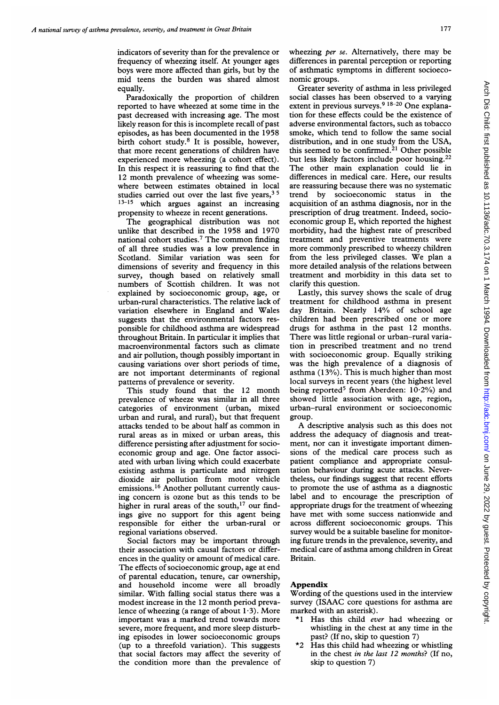177

indicators of severity than for the prevalence or frequency of wheezing itself. At younger ages boys were more affected than girls, but by the mid teens the burden was shared almost equally.

Paradoxically the proportion of children reported to have wheezed at some time in the past decreased with increasing age. The most likely reason for this is incomplete recall of past episodes, as has been documented in the 1958 birth cohort study.8 It is possible, however, that more recent generations of children have experienced more wheezing (a cohort effect). In this respect it is reassuring to find that the 12 month prevalence of wheezing was somewhere between estimates obtained in local studies carried out over the last five years,  $3\frac{5}{7}$ 13-15 which argues against an increasing propensity to wheeze in recent generations.

The geographical distribution was not unlike that described in the 1958 and 1970 national cohort studies.7 The common finding of all three studies was a low prevalence in Scotland. Similar variation was seen for dimensions of severity and frequency in this survey, though based on relatively small numbers of Scottish children. It was not explained by socioeconomic group, age, or urban-rural characteristics. The relative lack of variation elsewhere in England and Wales suggests that the environmental factors responsible for childhood asthma are widespread throughout Britain. In particular it implies that macroenvironmental factors such as climate and air pollution, though possibly important in causing variations over short periods of time, are not important determinants of regional patterns of prevalence or severity.

This study found that the 12 month prevalence of wheeze was similar in all three categories of environment (urban, mixed urban and rural, and rural), but that frequent attacks tended to be about half as common in rural areas as in mixed or urban areas, this difference persisting after adjustment for socioeconomic group and age. One factor associated with urban living which could exacerbate existing asthma is particulate and nitrogen dioxide air pollution from motor vehicle emissions.16 Another pollutant currently causing concern is ozone but as this tends to be higher in rural areas of the south, $17$  our findings give no support for this agent being responsible for either the urban-rural or regional variations observed.

Social factors may be important through their association with causal factors or differences in the quality or amount of medical care. The effects of socioeconomic group, age at end of parental education, tenure, car ownership, and household income were all broadly similar. With falling social status there was a modest increase in the 12 month period prevalence of wheezing (a range of about  $1.3$ ). More important was a marked trend towards more severe, more frequent, and more sleep disturbing episodes in lower socioeconomic groups (up to a threefold variation). This suggests that social factors may affect the severity of the condition more than the prevalence of

wheezing per se. Alternatively, there may be differences in parental perception or reporting of asthmatic symptoms in different socioeconomic groups.

Greater severity of asthma in less privileged social classes has been observed to a varying extent in previous surveys.<sup>9 18-20</sup> One explanation for these effects could be the existence of adverse environmental factors, such as tobacco smoke, which tend to follow the same social distribution, and in one study from the USA, this seemed to be confirmed.<sup>21</sup> Other possible but less likely factors include poor housing.<sup>22</sup> The other main explanation could lie in differences in medical care. Here, our results are reassuring because there was no systematic trend by socioeconomic status in the acquisition of an asthma diagnosis, nor in the prescription of drug treatment. Indeed, socioeconomic group E, which reported the highest morbidity, had the highest rate of prescribed treatment and preventive treatments were more commonly prescribed to wheezy children from the less privileged classes. We plan <sup>a</sup> more detailed analysis of the relations between treatment and morbidity in this data set to clarify this question.

Lastly, this survey shows the scale of drug treatment for childhood asthma in present day Britain. Nearly 14% of school age children had been prescribed one or more drugs for asthma in the past 12 months. There was little regional or urban-rural variation in prescribed treatment and no trend with socioeconomic group. Equally striking was the high prevalence of a diagnosis of asthma (13%). This is much higher than most local surveys in recent years (the highest level being reported<sup>5</sup> from Aberdeen:  $10.2\%$ ) and showed little association with age, region, urban-rural environment or socioeconomic group.

A descriptive analysis such as this does not address the adequacy of diagnosis and treatment, nor can it investigate important dimensions of the medical care process such as patient compliance and appropriate consultation behaviour during acute attacks. Nevertheless, our findings suggest that recent efforts to promote the use of asthma as a diagnostic label and to encourage the prescription of appropriate drugs for the treatment of wheezing have met with some success nationwide and across different socioeconomic groups. This survey would be a suitable baseline for monitoring future trends in the prevalence, severity, and medical care of asthma among children in Great Britain.

#### Appendix

Wording of the questions used in the interview survey (ISAAC core questions for asthma are marked with an asterisk).

- \*1 Has this child ever had wheezing or whistling in the chest at any time in the past? (If no, skip to question 7)
- $*2$  Has this child had wheezing or whistling in the chest in the last 12 months? (If no, skip to question 7)